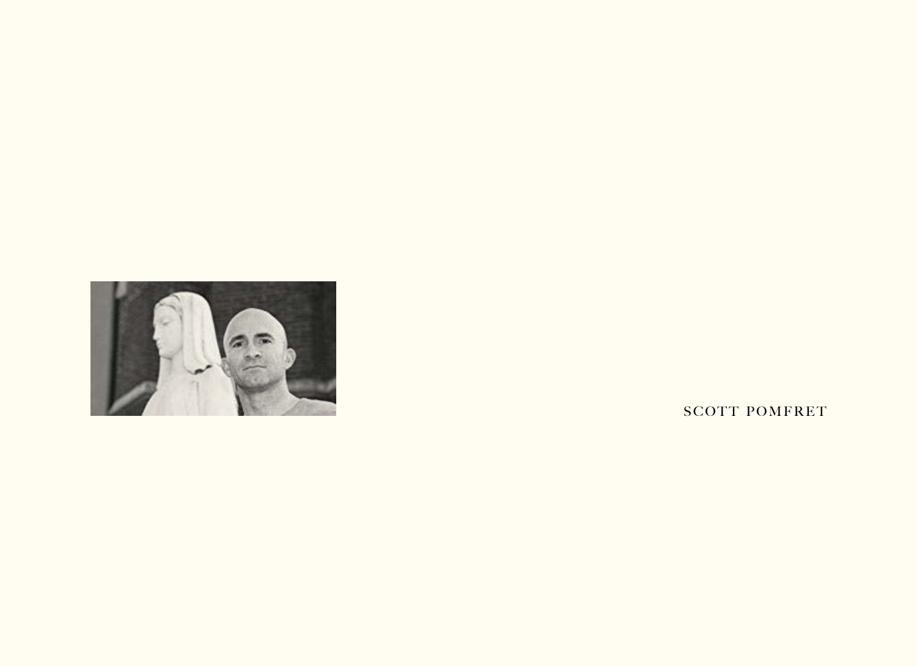

SCOTT POMFRET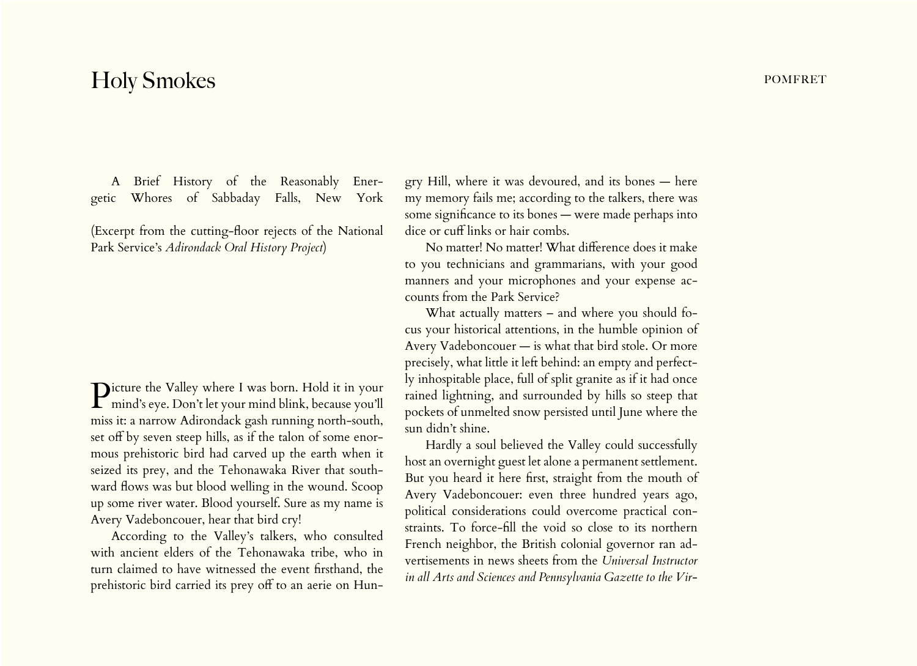## Holy Smokes **pomers** and the set of the set of the set of the set of the set of the set of the set of the set of the set of the set of the set of the set of the set of the set of the set of the set of the set of the set of

A Brief History of the Reasonably Energetic Whores of Sabbaday Falls, New York

(Excerpt from the cutting-floor rejects of the National Park Service's *Adirondack Oral History Project*)

**P**icture the Valley where I was born. Hold it in your  $\Gamma$  mind's eye. Don't let your mind blink, because you'll miss it: a narrow Adirondack gash running north-south, set off by seven steep hills, as if the talon of some enormous prehistoric bird had carved up the earth when it seized its prey, and the Tehonawaka River that southward flows was but blood welling in the wound. Scoop up some river water. Blood yourself. Sure as my name is Avery Vadeboncouer, hear that bird cry!

According to the Valley's talkers, who consulted with ancient elders of the Tehonawaka tribe, who in turn claimed to have witnessed the event firsthand, the prehistoric bird carried its prey off to an aerie on Hun-

gry Hill, where it was devoured, and its bones — here my memory fails me; according to the talkers, there was some significance to its bones — were made perhaps into dice or cuff links or hair combs.

No matter! No matter! What difference does it make to you technicians and grammarians, with your good manners and your microphones and your expense accounts from the Park Service?

What actually matters – and where you should focus your historical attentions, in the humble opinion of Avery Vadeboncouer — is what that bird stole. Or more precisely, what little it left behind: an empty and perfectly inhospitable place, full of split granite as if it had once rained lightning, and surrounded by hills so steep that pockets of unmelted snow persisted until June where the sun didn't shine.

Hardly a soul believed the Valley could successfully host an overnight guest let alone a permanent settlement. But you heard it here first, straight from the mouth of Avery Vadeboncouer: even three hundred years ago, political considerations could overcome practical constraints. To force-fill the void so close to its northern French neighbor, the British colonial governor ran advertisements in news sheets from the *Universal Instructor in all Arts and Sciences and Pennsylvania Gazette to the Vir-*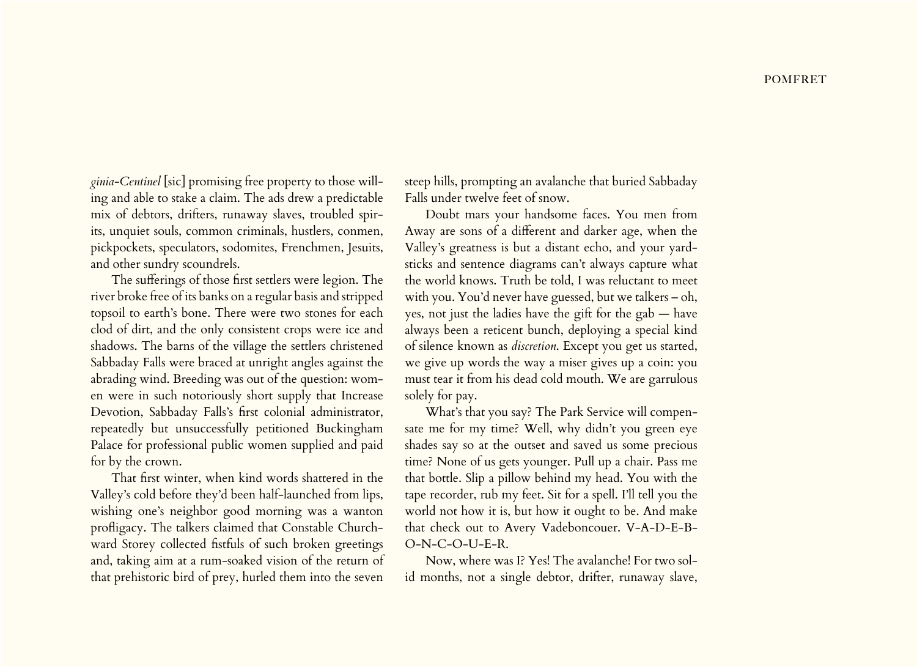*ginia-Centinel* [sic] promising free property to those willing and able to stake a claim. The ads drew a predictable mix of debtors, drifters, runaway slaves, troubled spirits, unquiet souls, common criminals, hustlers, conmen, pickpockets, speculators, sodomites, Frenchmen, Jesuits, and other sundry scoundrels.

The sufferings of those first settlers were legion. The river broke free of its banks on a regular basis and stripped topsoil to earth's bone. There were two stones for each clod of dirt, and the only consistent crops were ice and shadows. The barns of the village the settlers christened Sabbaday Falls were braced at unright angles against the abrading wind. Breeding was out of the question: women were in such notoriously short supply that Increase Devotion, Sabbaday Falls's first colonial administrator, repeatedly but unsuccessfully petitioned Buckingham Palace for professional public women supplied and paid for by the crown.

That first winter, when kind words shattered in the Valley's cold before they'd been half-launched from lips, wishing one's neighbor good morning was a wanton profligacy. The talkers claimed that Constable Churchward Storey collected fistfuls of such broken greetings and, taking aim at a rum-soaked vision of the return of that prehistoric bird of prey, hurled them into the seven

steep hills, prompting an avalanche that buried Sabbaday Falls under twelve feet of snow.

Doubt mars your handsome faces. You men from Away are sons of a different and darker age, when the Valley's greatness is but a distant echo, and your yardsticks and sentence diagrams can't always capture what the world knows. Truth be told, I was reluctant to meet with you. You'd never have guessed, but we talkers – oh, yes, not just the ladies have the gift for the gab — have always been a reticent bunch, deploying a special kind of silence known as *discretion*. Except you get us started, we give up words the way a miser gives up a coin: you must tear it from his dead cold mouth. We are garrulous solely for pay.

What's that you say? The Park Service will compensate me for my time? Well, why didn't you green eye shades say so at the outset and saved us some precious time? None of us gets younger. Pull up a chair. Pass me that bottle. Slip a pillow behind my head. You with the tape recorder, rub my feet. Sit for a spell. I'll tell you the world not how it is, but how it ought to be. And make that check out to Avery Vadeboncouer. V-A-D-E-B-O-N-C-O-U-E-R.

Now, where was I? Yes! The avalanche! For two solid months, not a single debtor, drifter, runaway slave,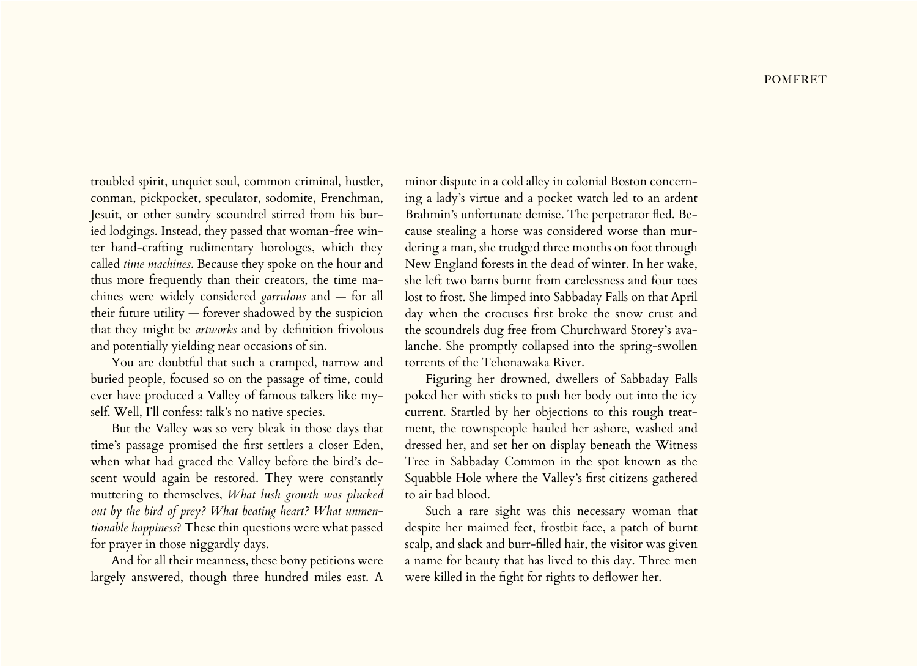troubled spirit, unquiet soul, common criminal, hustler, conman, pickpocket, speculator, sodomite, Frenchman, Jesuit, or other sundry scoundrel stirred from his buried lodgings. Instead, they passed that woman-free winter hand-crafting rudimentary horologes, which they called *time machines*. Because they spoke on the hour and thus more frequently than their creators, the time machines were widely considered *garrulous* and — for all their future utility — forever shadowed by the suspicion that they might be *artworks* and by definition frivolous and potentially yielding near occasions of sin.

You are doubtful that such a cramped, narrow and buried people, focused so on the passage of time, could ever have produced a Valley of famous talkers like myself. Well, I'll confess: talk's no native species.

But the Valley was so very bleak in those days that time's passage promised the first settlers a closer Eden, when what had graced the Valley before the bird's descent would again be restored. They were constantly muttering to themselves, *What lush growth was plucked out by the bird of prey? What beating heart? What unmentionable happiness*? These thin questions were what passed for prayer in those niggardly days.

And for all their meanness, these bony petitions were largely answered, though three hundred miles east. A minor dispute in a cold alley in colonial Boston concerning a lady's virtue and a pocket watch led to an ardent Brahmin's unfortunate demise. The perpetrator fled. Because stealing a horse was considered worse than murdering a man, she trudged three months on foot through New England forests in the dead of winter. In her wake, she left two barns burnt from carelessness and four toes lost to frost. She limped into Sabbaday Falls on that April day when the crocuses first broke the snow crust and the scoundrels dug free from Churchward Storey's avalanche. She promptly collapsed into the spring-swollen torrents of the Tehonawaka River.

Figuring her drowned, dwellers of Sabbaday Falls poked her with sticks to push her body out into the icy current. Startled by her objections to this rough treatment, the townspeople hauled her ashore, washed and dressed her, and set her on display beneath the Witness Tree in Sabbaday Common in the spot known as the Squabble Hole where the Valley's first citizens gathered to air bad blood.

Such a rare sight was this necessary woman that despite her maimed feet, frostbit face, a patch of burnt scalp, and slack and burr-filled hair, the visitor was given a name for beauty that has lived to this day. Three men were killed in the fight for rights to deflower her.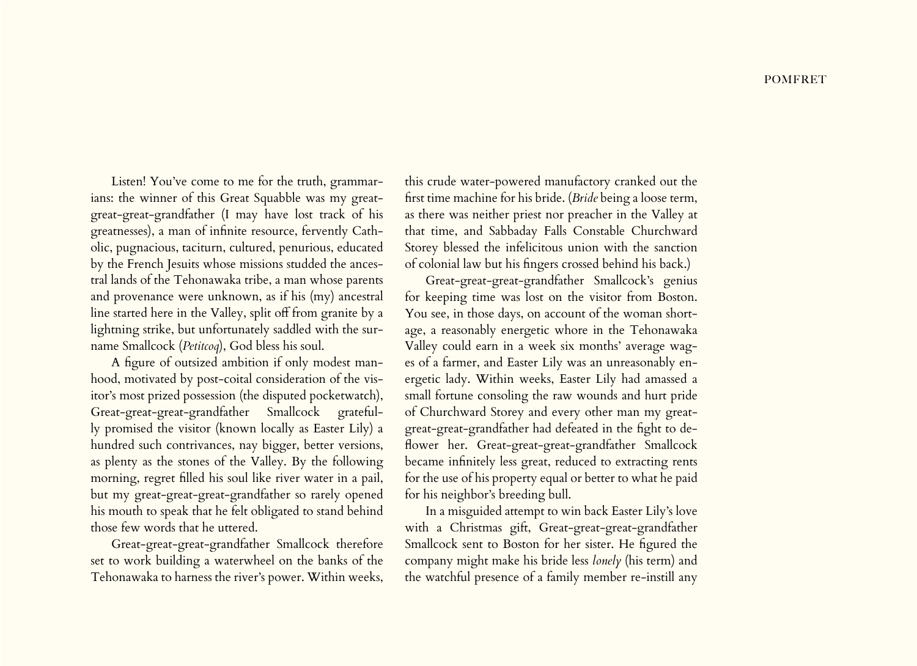Listen! You've come to me for the truth, grammarians: the winner of this Great Squabble was my greatgreat-great-grandfather (I may have lost track of his greatnesses), a man of infinite resource, fervently Catholic, pugnacious, taciturn, cultured, penurious, educated by the French Jesuits whose missions studded the ancestral lands of the Tehonawaka tribe, a man whose parents and provenance were unknown, as if his (my) ancestral line started here in the Valley, split off from granite by a lightning strike, but unfortunately saddled with the surname Smallcock (*Petitcoq*), God bless his soul.

A figure of outsized ambition if only modest manhood, motivated by post-coital consideration of the visitor's most prized possession (the disputed pocketwatch), Great-great-great-grandfather Smallcock gratefully promised the visitor (known locally as Easter Lily) a hundred such contrivances, nay bigger, better versions, as plenty as the stones of the Valley. By the following morning, regret filled his soul like river water in a pail, but my great-great-great-grandfather so rarely opened his mouth to speak that he felt obligated to stand behind those few words that he uttered.

Great-great-great-grandfather Smallcock therefore set to work building a waterwheel on the banks of the Tehonawaka to harness the river's power. Within weeks,

this crude water-powered manufactory cranked out the first time machine for his bride. (*Bride* being a loose term, as there was neither priest nor preacher in the Valley at that time, and Sabbaday Falls Constable Churchward Storey blessed the infelicitous union with the sanction of colonial law but his fingers crossed behind his back.)

Great-great-great-grandfather Smallcock's genius for keeping time was lost on the visitor from Boston. You see, in those days, on account of the woman shortage, a reasonably energetic whore in the Tehonawaka Valley could earn in a week six months' average wages of a farmer, and Easter Lily was an unreasonably energetic lady. Within weeks, Easter Lily had amassed a small fortune consoling the raw wounds and hurt pride of Churchward Storey and every other man my greatgreat-great-grandfather had defeated in the fight to deflower her. Great-great-great-grandfather Smallcock became infinitely less great, reduced to extracting rents for the use of his property equal or better to what he paid for his neighbor's breeding bull.

In a misguided attempt to win back Easter Lily's love with a Christmas gift, Great-great-great-grandfather Smallcock sent to Boston for her sister. He figured the company might make his bride less *lonely* (his term) and the watchful presence of a family member re-instill any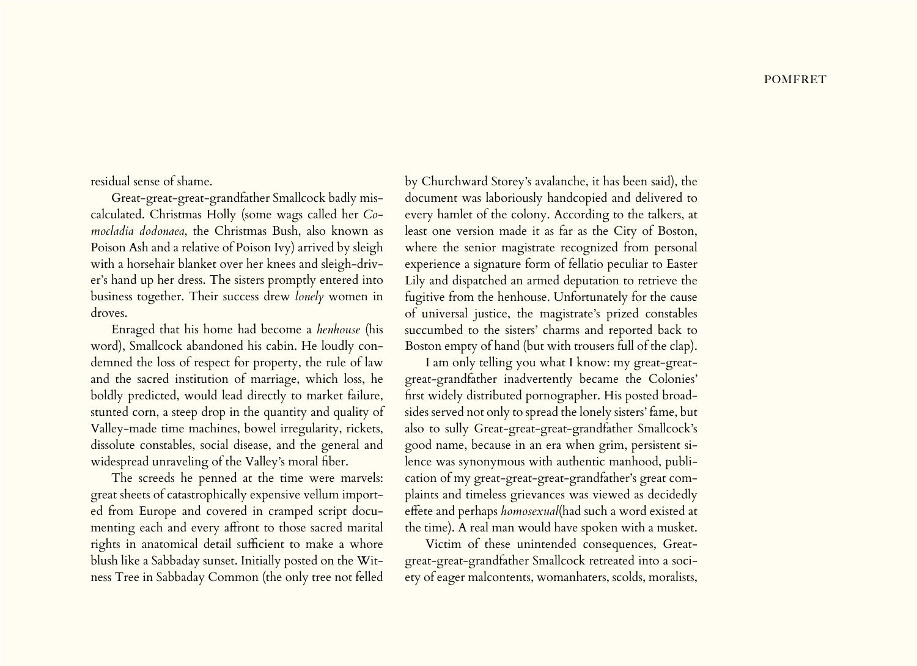residual sense of shame.

Great-great-great-grandfather Smallcock badly miscalculated. Christmas Holly (some wags called her *Comocladia dodonaea*, the Christmas Bush, also known as Poison Ash and a relative of Poison Ivy) arrived by sleigh with a horsehair blanket over her knees and sleigh-driver's hand up her dress. The sisters promptly entered into business together. Their success drew *lonely* women in droves.

Enraged that his home had become a *henhouse* (his word), Smallcock abandoned his cabin. He loudly condemned the loss of respect for property, the rule of law and the sacred institution of marriage, which loss, he boldly predicted, would lead directly to market failure, stunted corn, a steep drop in the quantity and quality of Valley-made time machines, bowel irregularity, rickets, dissolute constables, social disease, and the general and widespread unraveling of the Valley's moral fiber.

The screeds he penned at the time were marvels: great sheets of catastrophically expensive vellum imported from Europe and covered in cramped script documenting each and every affront to those sacred marital rights in anatomical detail sufficient to make a whore blush like a Sabbaday sunset. Initially posted on the Witness Tree in Sabbaday Common (the only tree not felled

by Churchward Storey's avalanche, it has been said), the document was laboriously handcopied and delivered to every hamlet of the colony. According to the talkers, at least one version made it as far as the City of Boston, where the senior magistrate recognized from personal experience a signature form of fellatio peculiar to Easter Lily and dispatched an armed deputation to retrieve the fugitive from the henhouse. Unfortunately for the cause of universal justice, the magistrate's prized constables succumbed to the sisters' charms and reported back to Boston empty of hand (but with trousers full of the clap).

I am only telling you what I know: my great-greatgreat-grandfather inadvertently became the Colonies' first widely distributed pornographer. His posted broadsides served not only to spread the lonely sisters' fame, but also to sully Great-great-great-grandfather Smallcock's good name, because in an era when grim, persistent silence was synonymous with authentic manhood, publication of my great-great-great-grandfather's great complaints and timeless grievances was viewed as decidedly effete and perhaps *homosexual*(had such a word existed at the time). A real man would have spoken with a musket.

Victim of these unintended consequences, Greatgreat-great-grandfather Smallcock retreated into a society of eager malcontents, womanhaters, scolds, moralists,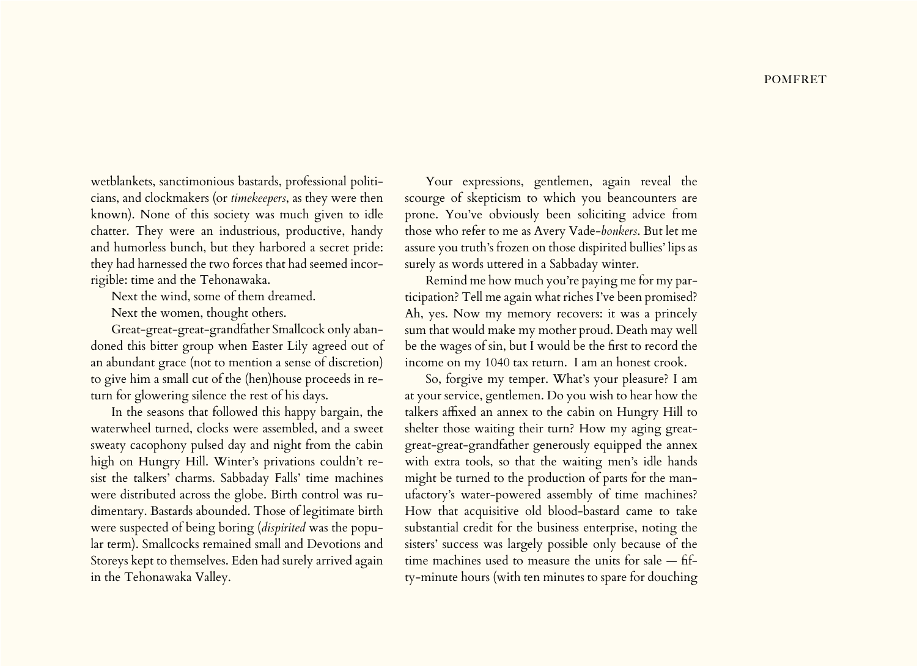wetblankets, sanctimonious bastards, professional politicians, and clockmakers (or *timekeepers*, as they were then known). None of this society was much given to idle chatter. They were an industrious, productive, handy and humorless bunch, but they harbored a secret pride: they had harnessed the two forces that had seemed incorrigible: time and the Tehonawaka.

Next the wind, some of them dreamed.

Next the women, thought others.

Great-great-great-grandfather Smallcock only abandoned this bitter group when Easter Lily agreed out of an abundant grace (not to mention a sense of discretion) to give him a small cut of the (hen)house proceeds in return for glowering silence the rest of his days.

In the seasons that followed this happy bargain, the waterwheel turned, clocks were assembled, and a sweet sweaty cacophony pulsed day and night from the cabin high on Hungry Hill. Winter's privations couldn't resist the talkers' charms. Sabbaday Falls' time machines were distributed across the globe. Birth control was rudimentary. Bastards abounded. Those of legitimate birth were suspected of being boring (*dispirited* was the popular term). Smallcocks remained small and Devotions and Storeys kept to themselves. Eden had surely arrived again in the Tehonawaka Valley.

Your expressions, gentlemen, again reveal the scourge of skepticism to which you beancounters are prone. You've obviously been soliciting advice from those who refer to me as Avery Vade-*bonkers*. But let me assure you truth's frozen on those dispirited bullies' lips as surely as words uttered in a Sabbaday winter.

Remind me how much you're paying me for my participation? Tell me again what riches I've been promised? Ah, yes. Now my memory recovers: it was a princely sum that would make my mother proud. Death may well be the wages of sin, but I would be the first to record the income on my 1040 tax return. I am an honest crook.

So, forgive my temper. What's your pleasure? I am at your service, gentlemen. Do you wish to hear how the talkers affixed an annex to the cabin on Hungry Hill to shelter those waiting their turn? How my aging greatgreat-great-grandfather generously equipped the annex with extra tools, so that the waiting men's idle hands might be turned to the production of parts for the manufactory's water-powered assembly of time machines? How that acquisitive old blood-bastard came to take substantial credit for the business enterprise, noting the sisters' success was largely possible only because of the time machines used to measure the units for sale — fifty-minute hours (with ten minutes to spare for douching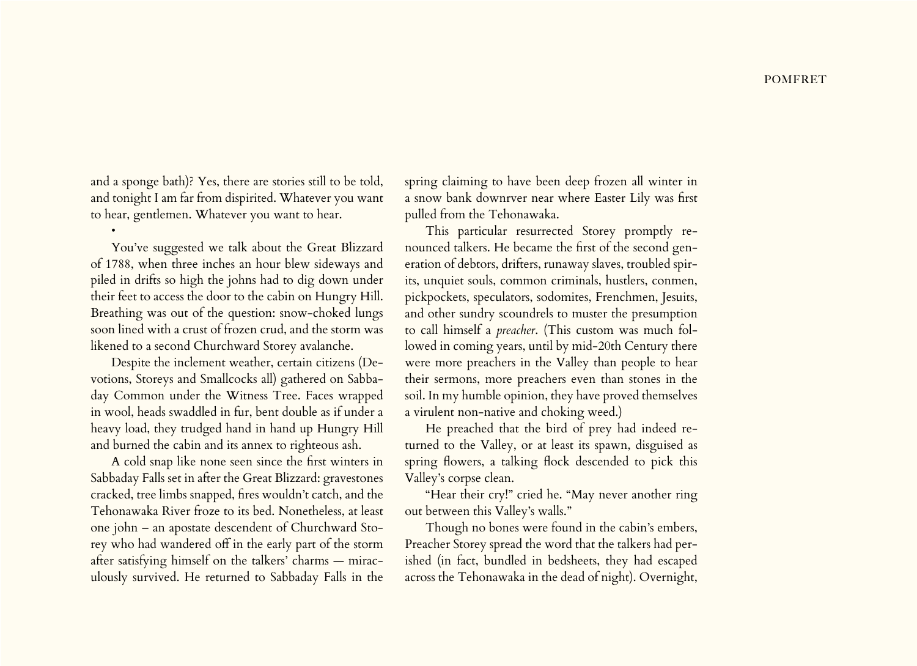and a sponge bath)? Yes, there are stories still to be told, and tonight I am far from dispirited. Whatever you want to hear, gentlemen. Whatever you want to hear.

•

You've suggested we talk about the Great Blizzard of 1788, when three inches an hour blew sideways and piled in drifts so high the johns had to dig down under their feet to access the door to the cabin on Hungry Hill. Breathing was out of the question: snow-choked lungs soon lined with a crust of frozen crud, and the storm was likened to a second Churchward Storey avalanche.

Despite the inclement weather, certain citizens (Devotions, Storeys and Smallcocks all) gathered on Sabbaday Common under the Witness Tree. Faces wrapped in wool, heads swaddled in fur, bent double as if under a heavy load, they trudged hand in hand up Hungry Hill and burned the cabin and its annex to righteous ash.

A cold snap like none seen since the first winters in Sabbaday Falls set in after the Great Blizzard: gravestones cracked, tree limbs snapped, fires wouldn't catch, and the Tehonawaka River froze to its bed. Nonetheless, at least one john – an apostate descendent of Churchward Storey who had wandered off in the early part of the storm after satisfying himself on the talkers' charms — miraculously survived. He returned to Sabbaday Falls in the

spring claiming to have been deep frozen all winter in a snow bank downrver near where Easter Lily was first pulled from the Tehonawaka.

This particular resurrected Storey promptly renounced talkers. He became the first of the second generation of debtors, drifters, runaway slaves, troubled spirits, unquiet souls, common criminals, hustlers, conmen, pickpockets, speculators, sodomites, Frenchmen, Jesuits, and other sundry scoundrels to muster the presumption to call himself a *preacher*. (This custom was much followed in coming years, until by mid-20th Century there were more preachers in the Valley than people to hear their sermons, more preachers even than stones in the soil. In my humble opinion, they have proved themselves a virulent non-native and choking weed.)

He preached that the bird of prey had indeed returned to the Valley, or at least its spawn, disguised as spring flowers, a talking flock descended to pick this Valley's corpse clean.

"Hear their cry!" cried he. "May never another ring out between this Valley's walls."

Though no bones were found in the cabin's embers, Preacher Storey spread the word that the talkers had perished (in fact, bundled in bedsheets, they had escaped across the Tehonawaka in the dead of night). Overnight,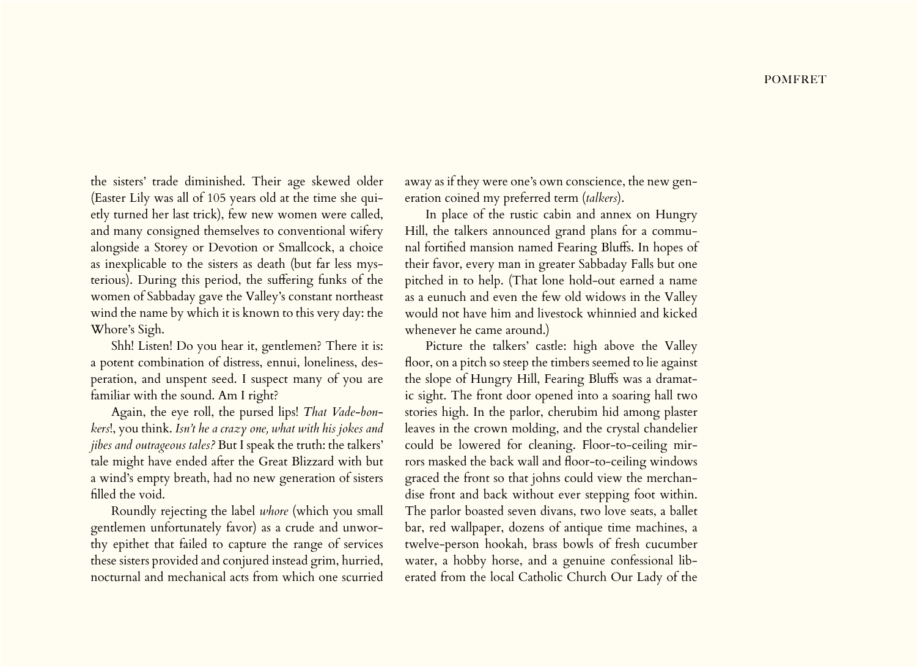the sisters' trade diminished. Their age skewed older (Easter Lily was all of 105 years old at the time she quietly turned her last trick), few new women were called, and many consigned themselves to conventional wifery alongside a Storey or Devotion or Smallcock, a choice as inexplicable to the sisters as death (but far less mysterious). During this period, the suffering funks of the women of Sabbaday gave the Valley's constant northeast wind the name by which it is known to this very day: the Whore's Sigh.

Shh! Listen! Do you hear it, gentlemen? There it is: a potent combination of distress, ennui, loneliness, desperation, and unspent seed. I suspect many of you are familiar with the sound. Am I right?

Again, the eye roll, the pursed lips! *That Vade-bonkers*!, you think. *Isn't he a crazy one, what with his jokes and jibes and outrageous tales?* But I speak the truth: the talkers' tale might have ended after the Great Blizzard with but a wind's empty breath, had no new generation of sisters filled the void.

Roundly rejecting the label *whore* (which you small gentlemen unfortunately favor) as a crude and unworthy epithet that failed to capture the range of services these sisters provided and conjured instead grim, hurried, nocturnal and mechanical acts from which one scurried

away as if they were one's own conscience, the new generation coined my preferred term (*talkers*).

In place of the rustic cabin and annex on Hungry Hill, the talkers announced grand plans for a communal fortified mansion named Fearing Bluffs. In hopes of their favor, every man in greater Sabbaday Falls but one pitched in to help. (That lone hold-out earned a name as a eunuch and even the few old widows in the Valley would not have him and livestock whinnied and kicked whenever he came around.)

Picture the talkers' castle: high above the Valley floor, on a pitch so steep the timbers seemed to lie against the slope of Hungry Hill, Fearing Bluffs was a dramatic sight. The front door opened into a soaring hall two stories high. In the parlor, cherubim hid among plaster leaves in the crown molding, and the crystal chandelier could be lowered for cleaning. Floor-to-ceiling mirrors masked the back wall and floor-to-ceiling windows graced the front so that johns could view the merchandise front and back without ever stepping foot within. The parlor boasted seven divans, two love seats, a ballet bar, red wallpaper, dozens of antique time machines, a twelve-person hookah, brass bowls of fresh cucumber water, a hobby horse, and a genuine confessional liberated from the local Catholic Church Our Lady of the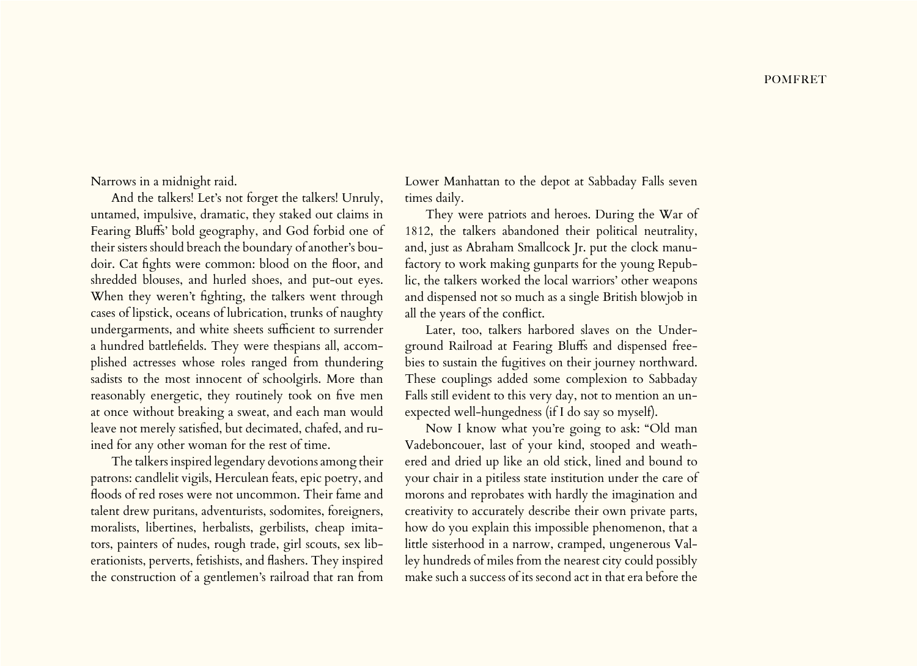Narrows in a midnight raid.

And the talkers! Let's not forget the talkers! Unruly, untamed, impulsive, dramatic, they staked out claims in Fearing Bluffs' bold geography, and God forbid one of their sisters should breach the boundary of another's boudoir. Cat fights were common: blood on the floor, and shredded blouses, and hurled shoes, and put-out eyes. When they weren't fighting, the talkers went through cases of lipstick, oceans of lubrication, trunks of naughty undergarments, and white sheets sufficient to surrender a hundred battlefields. They were thespians all, accomplished actresses whose roles ranged from thundering sadists to the most innocent of schoolgirls. More than reasonably energetic, they routinely took on five men at once without breaking a sweat, and each man would leave not merely satisfied, but decimated, chafed, and ruined for any other woman for the rest of time.

The talkers inspired legendary devotions among their patrons: candlelit vigils, Herculean feats, epic poetry, and floods of red roses were not uncommon. Their fame and talent drew puritans, adventurists, sodomites, foreigners, moralists, libertines, herbalists, gerbilists, cheap imitators, painters of nudes, rough trade, girl scouts, sex liberationists, perverts, fetishists, and flashers. They inspired the construction of a gentlemen's railroad that ran from

Lower Manhattan to the depot at Sabbaday Falls seven times daily.

They were patriots and heroes. During the War of 1812, the talkers abandoned their political neutrality, and, just as Abraham Smallcock Jr. put the clock manufactory to work making gunparts for the young Republic, the talkers worked the local warriors' other weapons and dispensed not so much as a single British blowjob in all the years of the conflict.

Later, too, talkers harbored slaves on the Underground Railroad at Fearing Bluffs and dispensed freebies to sustain the fugitives on their journey northward. These couplings added some complexion to Sabbaday Falls still evident to this very day, not to mention an unexpected well-hungedness (if I do say so myself).

Now I know what you're going to ask: "Old man Vadeboncouer, last of your kind, stooped and weathered and dried up like an old stick, lined and bound to your chair in a pitiless state institution under the care of morons and reprobates with hardly the imagination and creativity to accurately describe their own private parts, how do you explain this impossible phenomenon, that a little sisterhood in a narrow, cramped, ungenerous Valley hundreds of miles from the nearest city could possibly make such a success of its second act in that era before the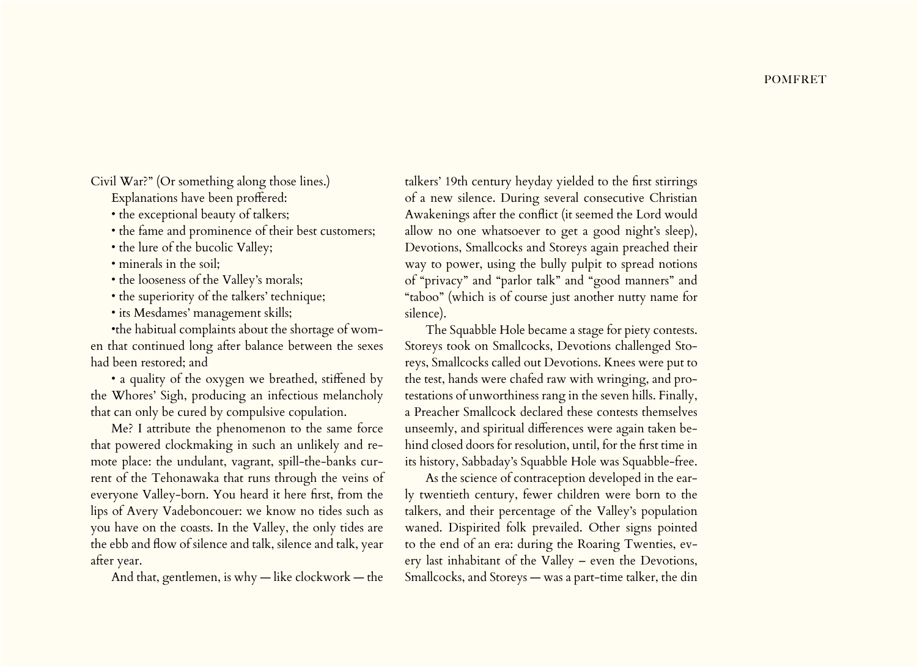Civil War?" (Or something along those lines.)

Explanations have been proffered:

• the exceptional beauty of talkers;

• the fame and prominence of their best customers;

• the lure of the bucolic Valley;

• minerals in the soil:

• the looseness of the Valley's morals;

• the superiority of the talkers' technique;

• its Mesdames' management skills;

•the habitual complaints about the shortage of women that continued long after balance between the sexes had been restored; and

• a quality of the oxygen we breathed, stiffened by the Whores' Sigh, producing an infectious melancholy that can only be cured by compulsive copulation.

Me? I attribute the phenomenon to the same force that powered clockmaking in such an unlikely and remote place: the undulant, vagrant, spill-the-banks current of the Tehonawaka that runs through the veins of everyone Valley-born. You heard it here first, from the lips of Avery Vadeboncouer: we know no tides such as you have on the coasts. In the Valley, the only tides are the ebb and flow of silence and talk, silence and talk, year after year.

And that, gentlemen, is why — like clockwork — the

talkers' 19th century heyday yielded to the first stirrings of a new silence. During several consecutive Christian Awakenings after the conflict (it seemed the Lord would allow no one whatsoever to get a good night's sleep), Devotions, Smallcocks and Storeys again preached their way to power, using the bully pulpit to spread notions of "privacy" and "parlor talk" and "good manners" and "taboo" (which is of course just another nutty name for silence).

The Squabble Hole became a stage for piety contests. Storeys took on Smallcocks, Devotions challenged Storeys, Smallcocks called out Devotions. Knees were put to the test, hands were chafed raw with wringing, and protestations of unworthiness rang in the seven hills. Finally, a Preacher Smallcock declared these contests themselves unseemly, and spiritual differences were again taken behind closed doors for resolution, until, for the first time in its history, Sabbaday's Squabble Hole was Squabble-free.

As the science of contraception developed in the early twentieth century, fewer children were born to the talkers, and their percentage of the Valley's population waned. Dispirited folk prevailed. Other signs pointed to the end of an era: during the Roaring Twenties, every last inhabitant of the Valley – even the Devotions, Smallcocks, and Storeys — was a part-time talker, the din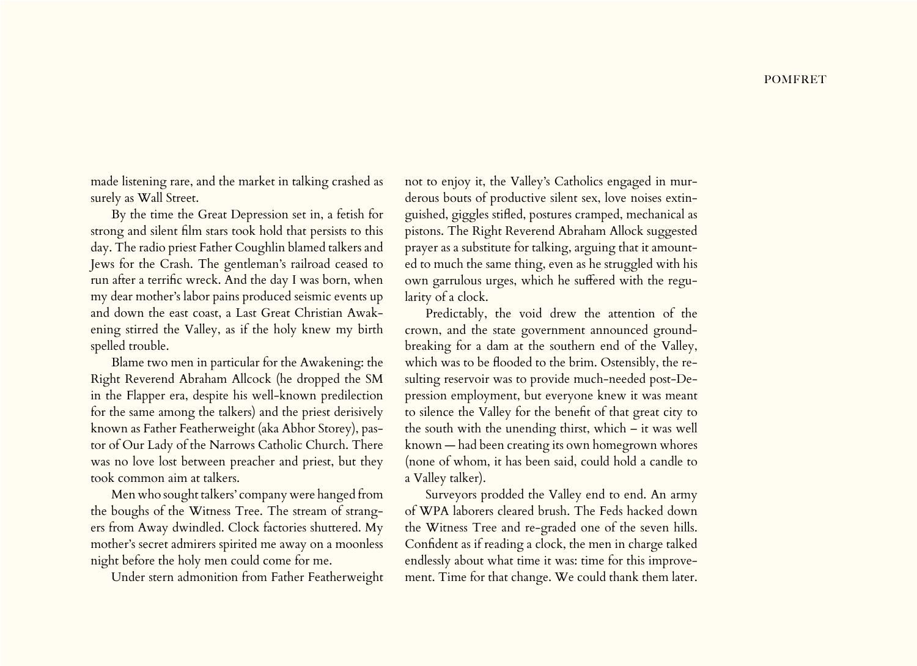made listening rare, and the market in talking crashed as surely as Wall Street.

By the time the Great Depression set in, a fetish for strong and silent film stars took hold that persists to this day. The radio priest Father Coughlin blamed talkers and Jews for the Crash. The gentleman's railroad ceased to run after a terrific wreck. And the day I was born, when my dear mother's labor pains produced seismic events up and down the east coast, a Last Great Christian Awakening stirred the Valley, as if the holy knew my birth spelled trouble.

Blame two men in particular for the Awakening: the Right Reverend Abraham Allcock (he dropped the SM in the Flapper era, despite his well-known predilection for the same among the talkers) and the priest derisively known as Father Featherweight (aka Abhor Storey), pastor of Our Lady of the Narrows Catholic Church. There was no love lost between preacher and priest, but they took common aim at talkers.

Men who sought talkers' company were hanged from the boughs of the Witness Tree. The stream of strangers from Away dwindled. Clock factories shuttered. My mother's secret admirers spirited me away on a moonless night before the holy men could come for me.

Under stern admonition from Father Featherweight

not to enjoy it, the Valley's Catholics engaged in murderous bouts of productive silent sex, love noises extinguished, giggles stifled, postures cramped, mechanical as pistons. The Right Reverend Abraham Allock suggested prayer as a substitute for talking, arguing that it amounted to much the same thing, even as he struggled with his own garrulous urges, which he suffered with the regularity of a clock.

Predictably, the void drew the attention of the crown, and the state government announced groundbreaking for a dam at the southern end of the Valley, which was to be flooded to the brim. Ostensibly, the resulting reservoir was to provide much-needed post-Depression employment, but everyone knew it was meant to silence the Valley for the benefit of that great city to the south with the unending thirst, which – it was well known — had been creating its own homegrown whores (none of whom, it has been said, could hold a candle to a Valley talker).

Surveyors prodded the Valley end to end. An army of WPA laborers cleared brush. The Feds hacked down the Witness Tree and re-graded one of the seven hills. Confident as if reading a clock, the men in charge talked endlessly about what time it was: time for this improvement. Time for that change. We could thank them later.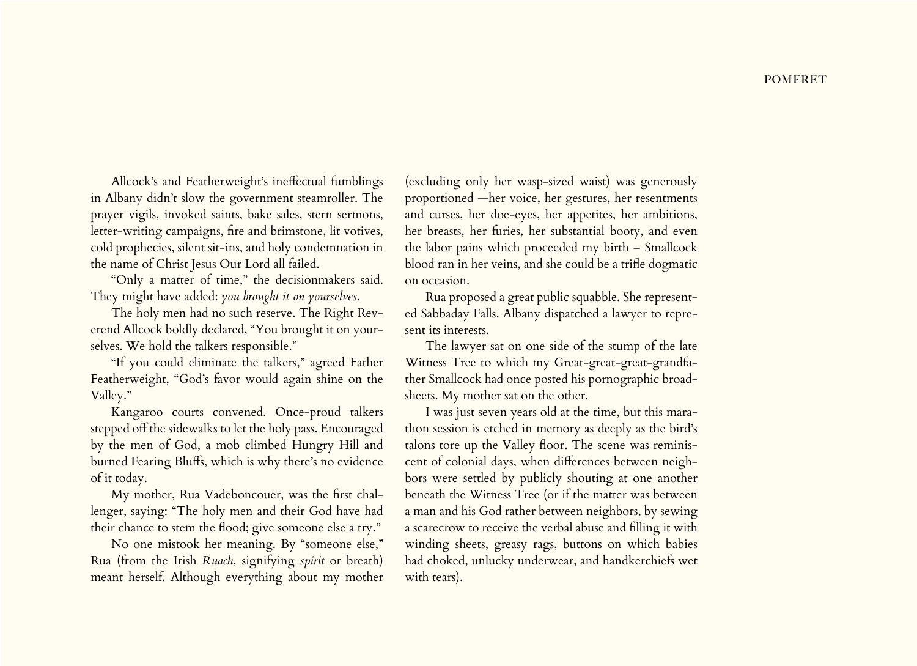Allcock's and Featherweight's ineffectual fumblings in Albany didn't slow the government steamroller. The prayer vigils, invoked saints, bake sales, stern sermons, letter-writing campaigns, fire and brimstone, lit votives, cold prophecies, silent sit-ins, and holy condemnation in the name of Christ Jesus Our Lord all failed.

"Only a matter of time," the decisionmakers said. They might have added: *you brought it on yourselves*.

The holy men had no such reserve. The Right Reverend Allcock boldly declared, "You brought it on yourselves. We hold the talkers responsible."

"If you could eliminate the talkers," agreed Father Featherweight, "God's favor would again shine on the Valley."

Kangaroo courts convened. Once-proud talkers stepped off the sidewalks to let the holy pass. Encouraged by the men of God, a mob climbed Hungry Hill and burned Fearing Bluffs, which is why there's no evidence of it today.

My mother, Rua Vadeboncouer, was the first challenger, saying: "The holy men and their God have had their chance to stem the flood; give someone else a try."

No one mistook her meaning. By "someone else," Rua (from the Irish *Ruach*, signifying *spirit* or breath) meant herself. Although everything about my mother (excluding only her wasp-sized waist) was generously proportioned —her voice, her gestures, her resentments and curses, her doe-eyes, her appetites, her ambitions, her breasts, her furies, her substantial booty, and even the labor pains which proceeded my birth – Smallcock blood ran in her veins, and she could be a trifle dogmatic on occasion.

Rua proposed a great public squabble. She represented Sabbaday Falls. Albany dispatched a lawyer to represent its interests.

The lawyer sat on one side of the stump of the late Witness Tree to which my Great-great-great-grandfather Smallcock had once posted his pornographic broadsheets. My mother sat on the other.

I was just seven years old at the time, but this marathon session is etched in memory as deeply as the bird's talons tore up the Valley floor. The scene was reminiscent of colonial days, when differences between neighbors were settled by publicly shouting at one another beneath the Witness Tree (or if the matter was between a man and his God rather between neighbors, by sewing a scarecrow to receive the verbal abuse and filling it with winding sheets, greasy rags, buttons on which babies had choked, unlucky underwear, and handkerchiefs wet with tears).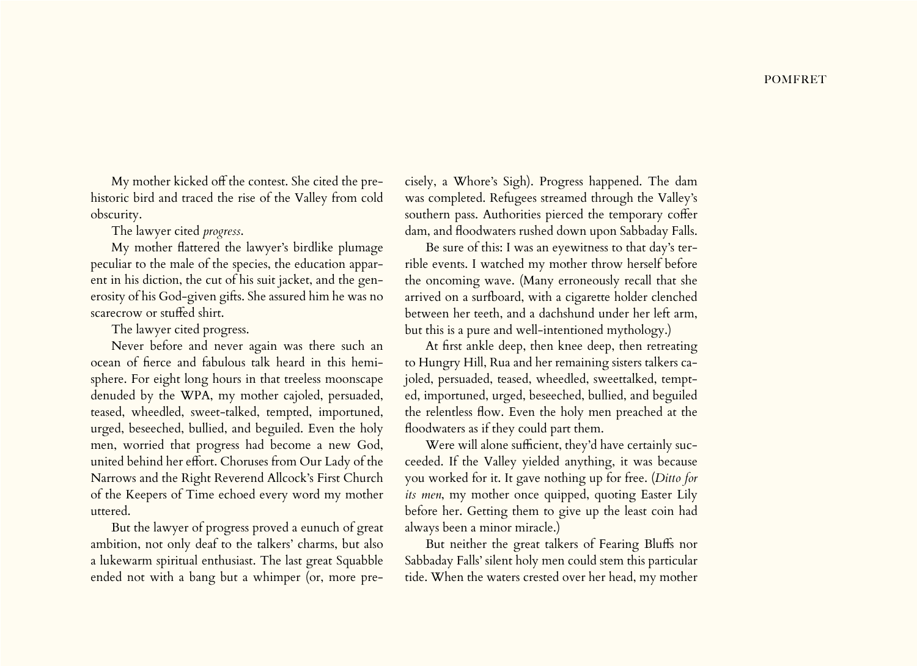My mother kicked off the contest. She cited the prehistoric bird and traced the rise of the Valley from cold obscurity.

The lawyer cited *progress*.

My mother flattered the lawyer's birdlike plumage peculiar to the male of the species, the education apparent in his diction, the cut of his suit jacket, and the generosity of his God-given gifts. She assured him he was no scarecrow or stuffed shirt.

The lawyer cited progress.

Never before and never again was there such an ocean of fierce and fabulous talk heard in this hemisphere. For eight long hours in that treeless moonscape denuded by the WPA, my mother cajoled, persuaded, teased, wheedled, sweet-talked, tempted, importuned, urged, beseeched, bullied, and beguiled. Even the holy men, worried that progress had become a new God, united behind her effort. Choruses from Our Lady of the Narrows and the Right Reverend Allcock's First Church of the Keepers of Time echoed every word my mother uttered.

But the lawyer of progress proved a eunuch of great ambition, not only deaf to the talkers' charms, but also a lukewarm spiritual enthusiast. The last great Squabble ended not with a bang but a whimper (or, more pre-

cisely, a Whore's Sigh). Progress happened. The dam was completed. Refugees streamed through the Valley's southern pass. Authorities pierced the temporary coffer dam, and floodwaters rushed down upon Sabbaday Falls.

Be sure of this: I was an eyewitness to that day's terrible events. I watched my mother throw herself before the oncoming wave. (Many erroneously recall that she arrived on a surfboard, with a cigarette holder clenched between her teeth, and a dachshund under her left arm, but this is a pure and well-intentioned mythology.)

At first ankle deep, then knee deep, then retreating to Hungry Hill, Rua and her remaining sisters talkers cajoled, persuaded, teased, wheedled, sweettalked, tempted, importuned, urged, beseeched, bullied, and beguiled the relentless flow. Even the holy men preached at the floodwaters as if they could part them.

Were will alone sufficient, they'd have certainly succeeded. If the Valley yielded anything, it was because you worked for it. It gave nothing up for free. (*Ditto for its men*, my mother once quipped, quoting Easter Lily before her. Getting them to give up the least coin had always been a minor miracle.)

But neither the great talkers of Fearing Bluffs nor Sabbaday Falls' silent holy men could stem this particular tide. When the waters crested over her head, my mother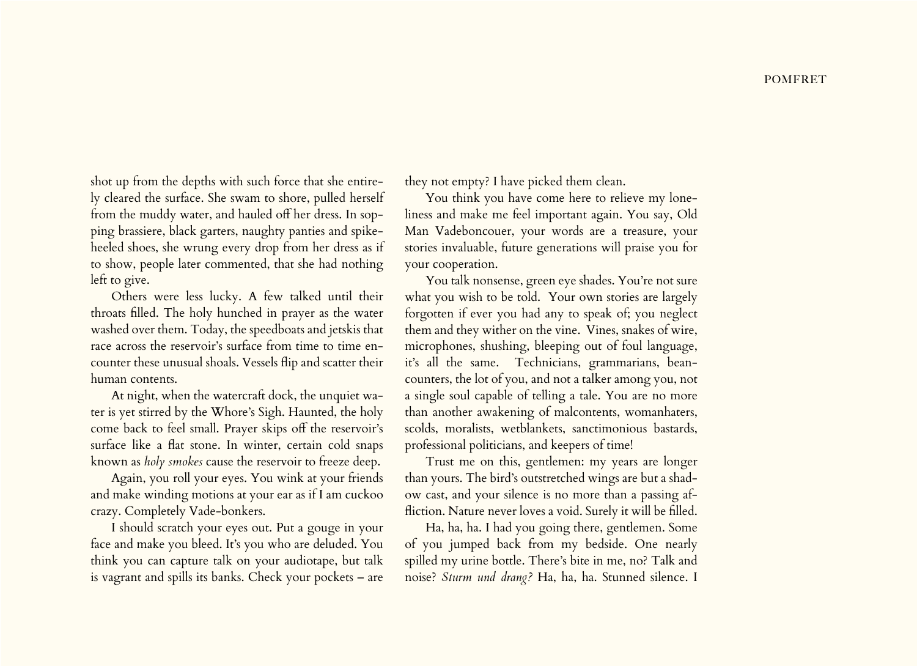shot up from the depths with such force that she entirely cleared the surface. She swam to shore, pulled herself from the muddy water, and hauled off her dress. In sopping brassiere, black garters, naughty panties and spikeheeled shoes, she wrung every drop from her dress as if to show, people later commented, that she had nothing left to give.

Others were less lucky. A few talked until their throats filled. The holy hunched in prayer as the water washed over them. Today, the speedboats and jetskis that race across the reservoir's surface from time to time encounter these unusual shoals. Vessels flip and scatter their human contents.

At night, when the watercraft dock, the unquiet water is yet stirred by the Whore's Sigh. Haunted, the holy come back to feel small. Prayer skips off the reservoir's surface like a flat stone. In winter, certain cold snaps known as *holy smokes* cause the reservoir to freeze deep.

Again, you roll your eyes. You wink at your friends and make winding motions at your ear as if I am cuckoo crazy. Completely Vade-bonkers.

I should scratch your eyes out. Put a gouge in your face and make you bleed. It's you who are deluded. You think you can capture talk on your audiotape, but talk is vagrant and spills its banks. Check your pockets – are

they not empty? I have picked them clean.

You think you have come here to relieve my loneliness and make me feel important again. You say, Old Man Vadeboncouer, your words are a treasure, your stories invaluable, future generations will praise you for your cooperation.

You talk nonsense, green eye shades. You're not sure what you wish to be told. Your own stories are largely forgotten if ever you had any to speak of; you neglect them and they wither on the vine. Vines, snakes of wire, microphones, shushing, bleeping out of foul language, it's all the same. Technicians, grammarians, beancounters, the lot of you, and not a talker among you, not a single soul capable of telling a tale. You are no more than another awakening of malcontents, womanhaters, scolds, moralists, wetblankets, sanctimonious bastards, professional politicians, and keepers of time!

Trust me on this, gentlemen: my years are longer than yours. The bird's outstretched wings are but a shadow cast, and your silence is no more than a passing affliction. Nature never loves a void. Surely it will be filled.

Ha, ha, ha. I had you going there, gentlemen. Some of you jumped back from my bedside. One nearly spilled my urine bottle. There's bite in me, no? Talk and noise? *Sturm und drang?* Ha, ha, ha. Stunned silence. I